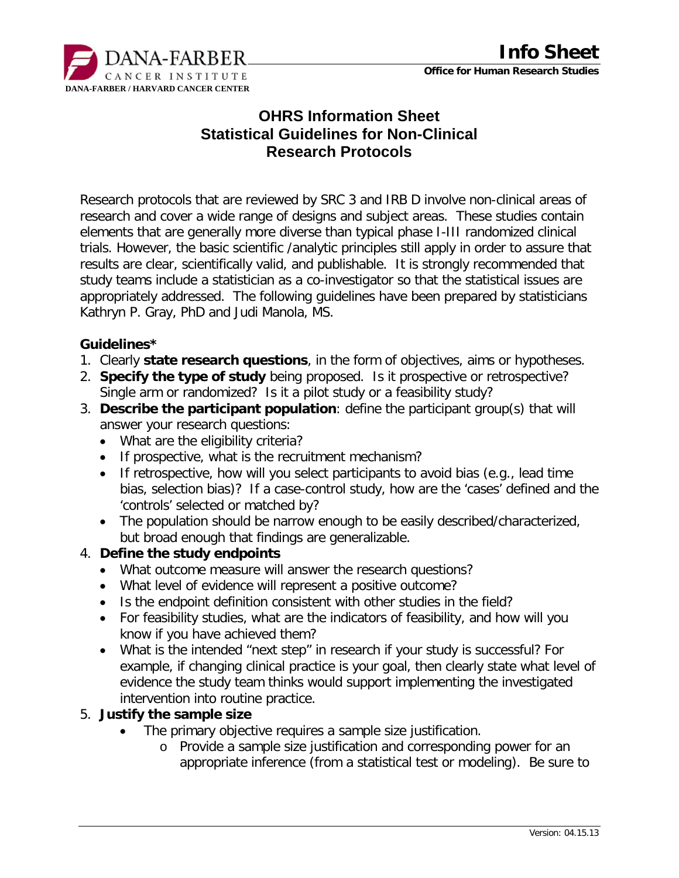

#### **Office for Human Research Studies**

# **OHRS Information Sheet Statistical Guidelines for Non-Clinical Research Protocols**

Research protocols that are reviewed by SRC 3 and IRB D involve non-clinical areas of research and cover a wide range of designs and subject areas. These studies contain elements that are generally more diverse than typical phase I-III randomized clinical trials. However, the basic scientific /analytic principles still apply in order to assure that results are clear, scientifically valid, and publishable. It is strongly recommended that study teams include a statistician as a co-investigator so that the statistical issues are appropriately addressed. The following guidelines have been prepared by statisticians Kathryn P. Gray, PhD and Judi Manola, MS.

#### **Guidelines\***

- 1. Clearly **state research questions**, in the form of objectives, aims or hypotheses.
- 2. **Specify the type of study** being proposed. Is it prospective or retrospective? Single arm or randomized? Is it a pilot study or a feasibility study?
- 3. **Describe the participant population**: define the participant group(s) that will answer your research questions:
	- What are the eligibility criteria?
	- If prospective, what is the recruitment mechanism?
	- If retrospective, how will you select participants to avoid bias (e.g., lead time bias, selection bias)? If a case-control study, how are the 'cases' defined and the 'controls' selected or matched by?
	- The population should be narrow enough to be easily described/characterized, but broad enough that findings are generalizable.

### 4. **Define the study endpoints**

- What outcome measure will answer the research questions?
- What level of evidence will represent a positive outcome?
- Is the endpoint definition consistent with other studies in the field?
- For feasibility studies, what are the indicators of feasibility, and how will you know if you have achieved them?
- What is the intended "next step" in research if your study is successful? For example, if changing clinical practice is your goal, then clearly state what level of evidence the study team thinks would support implementing the investigated intervention into routine practice.

#### 5. **Justify the sample size**

- The primary objective requires a sample size justification.
	- o Provide a sample size justification and corresponding power for an appropriate inference (from a statistical test or modeling). Be sure to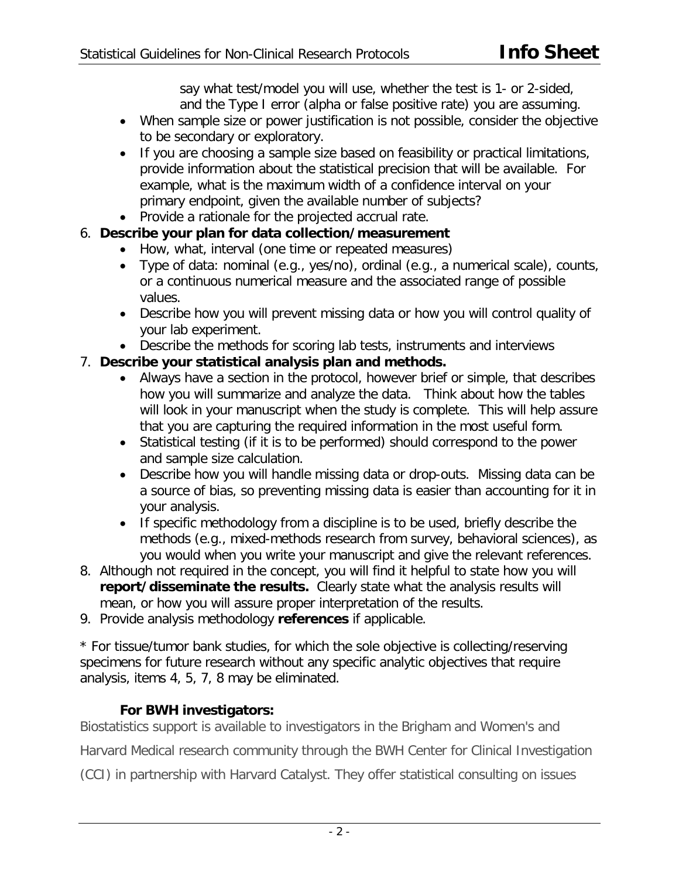say what test/model you will use, whether the test is 1- or 2-sided, and the Type I error (alpha or false positive rate) you are assuming.

- When sample size or power justification is not possible, consider the objective to be secondary or exploratory.
- If you are choosing a sample size based on feasibility or practical limitations, provide information about the statistical precision that will be available. For example, what is the maximum width of a confidence interval on your primary endpoint, given the available number of subjects?
- Provide a rationale for the projected accrual rate.
- 6. **Describe your plan for data collection/measurement** 
	- How, what, interval (one time or repeated measures)
	- Type of data: nominal (e.g., yes/no), ordinal (e.g., a numerical scale), counts, or a continuous numerical measure and the associated range of possible values.
	- Describe how you will prevent missing data or how you will control quality of your lab experiment.
	- Describe the methods for scoring lab tests, instruments and interviews

## 7. **Describe your statistical analysis plan and methods.**

- Always have a section in the protocol, however brief or simple, that describes how you will summarize and analyze the data. Think about how the tables will look in your manuscript when the study is complete. This will help assure that you are capturing the required information in the most useful form.
- Statistical testing (if it is to be performed) should correspond to the power and sample size calculation.
- Describe how you will handle missing data or drop-outs. Missing data can be a source of bias, so preventing missing data is easier than accounting for it in your analysis.
- If specific methodology from a discipline is to be used, briefly describe the methods (e.g., mixed-methods research from survey, behavioral sciences), as you would when you write your manuscript and give the relevant references.
- 8. Although not required in the concept, you will find it helpful to state how you will **report/disseminate the results.** Clearly state what the analysis results will mean, or how you will assure proper interpretation of the results.
- 9. Provide analysis methodology **references** if applicable.

\* For tissue/tumor bank studies, for which the sole objective is collecting/reserving specimens for future research without any specific analytic objectives that require analysis, items 4, 5, 7, 8 may be eliminated.

## **For BWH investigators:**

Biostatistics support is available to investigators in the Brigham and Women's and

Harvard Medical research community through the BWH Center for Clinical Investigation

(CCI) in partnership with Harvard Catalyst. They offer statistical consulting on issues